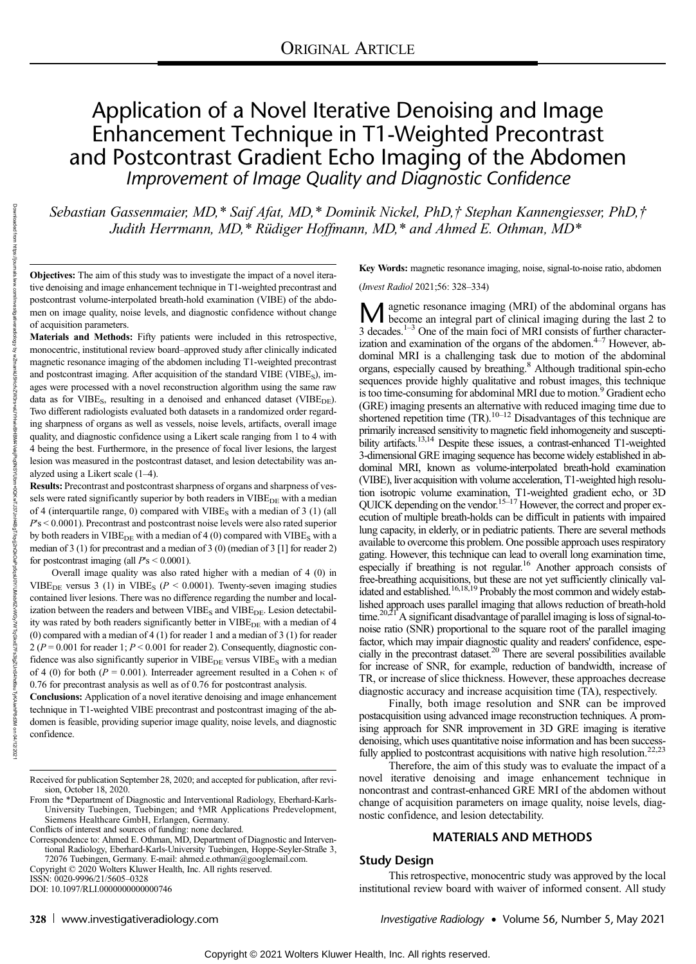# Application of a Novel Iterative Denoising and Image Enhancement Technique in T1-Weighted Precontrast and Postcontrast Gradient Echo Imaging of the Abdomen Improvement of Image Quality and Diagnostic Confidence

Sebastian Gassenmaier, MD,\* Saif Afat, MD,\* Dominik Nickel, PhD,† Stephan Kannengiesser, PhD,† Judith Herrmann, MD, \* Rüdiger Hoffmann, MD, \* and Ahmed E. Othman, MD \*

Objectives: The aim of this study was to investigate the impact of a novel iterative denoising and image enhancement technique in T1-weighted precontrast and postcontrast volume-interpolated breath-hold examination (VIBE) of the abdomen on image quality, noise levels, and diagnostic confidence without change of acquisition parameters.

Materials and Methods: Fifty patients were included in this retrospective, monocentric, institutional review board–approved study after clinically indicated magnetic resonance imaging of the abdomen including T1-weighted precontrast and postcontrast imaging. After acquisition of the standard VIBE (VIBE<sub>S</sub>), images were processed with a novel reconstruction algorithm using the same raw data as for VIBE<sub>S</sub>, resulting in a denoised and enhanced dataset (VIBE<sub>DE</sub>). Two different radiologists evaluated both datasets in a randomized order regarding sharpness of organs as well as vessels, noise levels, artifacts, overall image quality, and diagnostic confidence using a Likert scale ranging from 1 to 4 with 4 being the best. Furthermore, in the presence of focal liver lesions, the largest lesion was measured in the postcontrast dataset, and lesion detectability was analyzed using a Likert scale (1–4).

Results: Precontrast and postcontrast sharpness of organs and sharpness of vessels were rated significantly superior by both readers in VIBE<sub>DE</sub> with a median of 4 (interquartile range, 0) compared with  $VIBE<sub>S</sub>$  with a median of 3 (1) (all  $P$ 's  $\leq$  0.0001). Precontrast and postcontrast noise levels were also rated superior by both readers in VIBE<sub>DE</sub> with a median of 4 (0) compared with VIBE<sub>S</sub> with a median of 3 (1) for precontrast and a median of 3 (0) (median of 3 [1] for reader 2) for postcontrast imaging (all  $P$ 's < 0.0001).

Overall image quality was also rated higher with a median of 4 (0) in VIBE<sub>DE</sub> versus 3 (1) in VIBE<sub>S</sub> ( $P < 0.0001$ ). Twenty-seven imaging studies contained liver lesions. There was no difference regarding the number and localization between the readers and between  $VIBE_S$  and  $VIBE_{DE}$ . Lesion detectability was rated by both readers significantly better in  $VIBE<sub>DE</sub>$  with a median of 4 (0) compared with a median of 4 (1) for reader 1 and a median of 3 (1) for reader  $2 (P = 0.001$  for reader 1;  $P < 0.001$  for reader 2). Consequently, diagnostic confidence was also significantly superior in VIBE<sub>DE</sub> versus VIBE<sub>S</sub> with a median of 4 (0) for both ( $P = 0.001$ ). Interreader agreement resulted in a Cohen  $\kappa$  of 0.76 for precontrast analysis as well as of 0.76 for postcontrast analysis.

Conclusions: Application of a novel iterative denoising and image enhancement technique in T1-weighted VIBE precontrast and postcontrast imaging of the abdomen is feasible, providing superior image quality, noise levels, and diagnostic confidence.

Copyright © 2020 Wolters Kluwer Health, Inc. All rights reserved.

ISSN: 0020-9996/21/5605–0328

DOI: 10.1097/RLI.0000000000000746

Key Words: magnetic resonance imaging, noise, signal-to-noise ratio, abdomen

(Invest Radiol 2021;56: 328–334)

 $\mathbf{M}$  agnetic resonance imaging (MRI) of the abdominal organs has<br>become an integral part of clinical imaging during the last 2 to 3 decades. $1-3$  One of the main foci of MRI consists of further characterization and examination of the organs of the abdomen. $4-7$  However, abdominal MRI is a challenging task due to motion of the abdominal organs, especially caused by breathing.8 Although traditional spin-echo sequences provide highly qualitative and robust images, this technique is too time-consuming for abdominal MRI due to motion.<sup>9</sup> Gradient echo (GRE) imaging presents an alternative with reduced imaging time due to shortened repetition time  $(TR)$ .<sup>10–12</sup> Disadvantages of this technique are primarily increased sensitivity to magnetic field inhomogeneity and susceptibility artifacts.<sup>13,14</sup> Despite these issues, a contrast-enhanced T1-weighted 3-dimensional GRE imaging sequence has become widely established in abdominal MRI, known as volume-interpolated breath-hold examination (VIBE), liver acquisition with volume acceleration, T1-weighted high resolution isotropic volume examination, T1-weighted gradient echo, or 3D QUICK depending on the vendor.<sup>15–17</sup> However, the correct and proper execution of multiple breath-holds can be difficult in patients with impaired lung capacity, in elderly, or in pediatric patients. There are several methods available to overcome this problem. One possible approach uses respiratory gating. However, this technique can lead to overall long examination time, especially if breathing is not regular.<sup>16</sup> Another approach consists of free-breathing acquisitions, but these are not yet sufficiently clinically validated and established.<sup>16,18,19</sup> Probably the most common and widely established approach uses parallel imaging that allows reduction of breath-hold time.<sup>20,21</sup> A significant disadvantage of parallel imaging is loss of signal-tonoise ratio (SNR) proportional to the square root of the parallel imaging factor, which may impair diagnostic quality and readers' confidence, especially in the precontrast dataset.<sup>20</sup> There are several possibilities available for increase of SNR, for example, reduction of bandwidth, increase of TR, or increase of slice thickness. However, these approaches decrease diagnostic accuracy and increase acquisition time (TA), respectively.

Finally, both image resolution and SNR can be improved postacquisition using advanced image reconstruction techniques. A promising approach for SNR improvement in 3D GRE imaging is iterative denoising, which uses quantitative noise information and has been success-<br>fully applied to postcontrast acquisitions with native high resolution.<sup>22,23</sup>

Therefore, the aim of this study was to evaluate the impact of a novel iterative denoising and image enhancement technique in noncontrast and contrast-enhanced GRE MRI of the abdomen without change of acquisition parameters on image quality, noise levels, diagnostic confidence, and lesion detectability.

#### MATERIALS AND METHODS

#### Study Design

This retrospective, monocentric study was approved by the local institutional review board with waiver of informed consent. All study

328 <www.investigativeradiology.com> and investigative Radiology • Volume 56, Number 5, May 2021

Received for publication September 28, 2020; and accepted for publication, after revision, October 18, 2020.

From the \*Department of Diagnostic and Interventional Radiology, Eberhard-Karls-University Tuebingen, Tuebingen; and †MR Applications Predevelopment, Siemens Healthcare GmbH, Erlangen, Germany. Conflicts of interest and sources of funding: none declared.

Correspondence to: Ahmed E. Othman, MD, Department of Diagnostic and Interventional Radiology, Eberhard-Karls-University Tuebingen, Hoppe-Seyler-Straße 3, 72076 Tuebingen, Germany. E-mail: [ahmed.e.othman@googlemail.com](mailto:ahmed.e.othman@googlemail.com).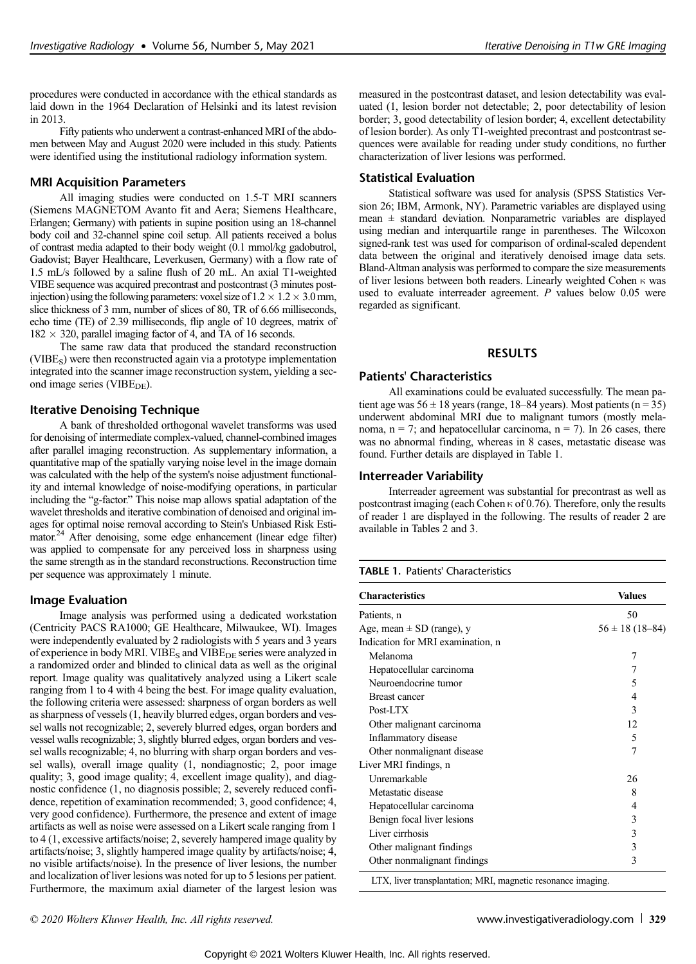procedures were conducted in accordance with the ethical standards as laid down in the 1964 Declaration of Helsinki and its latest revision in 2013.

Fifty patients who underwent a contrast-enhanced MRI of the abdomen between May and August 2020 were included in this study. Patients were identified using the institutional radiology information system.

### MRI Acquisition Parameters

All imaging studies were conducted on 1.5-T MRI scanners (Siemens MAGNETOM Avanto fit and Aera; Siemens Healthcare, Erlangen; Germany) with patients in supine position using an 18-channel body coil and 32-channel spine coil setup. All patients received a bolus of contrast media adapted to their body weight (0.1 mmol/kg gadobutrol, Gadovist; Bayer Healthcare, Leverkusen, Germany) with a flow rate of 1.5 mL/s followed by a saline flush of 20 mL. An axial T1-weighted VIBE sequence was acquired precontrast and postcontrast (3 minutes postinjection) using the following parameters: voxel size of  $1.2 \times 1.2 \times 3.0$  mm, slice thickness of 3 mm, number of slices of 80, TR of 6.66 milliseconds, echo time (TE) of 2.39 milliseconds, flip angle of 10 degrees, matrix of  $182 \times 320$ , parallel imaging factor of 4, and TA of 16 seconds.

The same raw data that produced the standard reconstruction (VIBE<sub>S</sub>) were then reconstructed again via a prototype implementation integrated into the scanner image reconstruction system, yielding a second image series (VIBE<sub>DE</sub>).

#### Iterative Denoising Technique

A bank of thresholded orthogonal wavelet transforms was used for denoising of intermediate complex-valued, channel-combined images after parallel imaging reconstruction. As supplementary information, a quantitative map of the spatially varying noise level in the image domain was calculated with the help of the system's noise adjustment functionality and internal knowledge of noise-modifying operations, in particular including the "g-factor." This noise map allows spatial adaptation of the wavelet thresholds and iterative combination of denoised and original images for optimal noise removal according to Stein's Unbiased Risk Estimator.<sup>24</sup> After denoising, some edge enhancement (linear edge filter) was applied to compensate for any perceived loss in sharpness using the same strength as in the standard reconstructions. Reconstruction time per sequence was approximately 1 minute.

#### Image Evaluation

Image analysis was performed using a dedicated workstation (Centricity PACS RA1000; GE Healthcare, Milwaukee, WI). Images were independently evaluated by 2 radiologists with 5 years and 3 years of experience in body MRI. VIBE<sub>S</sub> and VIBE<sub>DE</sub> series were analyzed in a randomized order and blinded to clinical data as well as the original report. Image quality was qualitatively analyzed using a Likert scale ranging from 1 to 4 with 4 being the best. For image quality evaluation, the following criteria were assessed: sharpness of organ borders as well as sharpness of vessels (1, heavily blurred edges, organ borders and vessel walls not recognizable; 2, severely blurred edges, organ borders and vessel walls recognizable; 3, slightly blurred edges, organ borders and vessel walls recognizable; 4, no blurring with sharp organ borders and vessel walls), overall image quality (1, nondiagnostic; 2, poor image quality; 3, good image quality; 4, excellent image quality), and diagnostic confidence (1, no diagnosis possible; 2, severely reduced confidence, repetition of examination recommended; 3, good confidence; 4, very good confidence). Furthermore, the presence and extent of image artifacts as well as noise were assessed on a Likert scale ranging from 1 to 4 (1, excessive artifacts/noise; 2, severely hampered image quality by artifacts/noise; 3, slightly hampered image quality by artifacts/noise; 4, no visible artifacts/noise). In the presence of liver lesions, the number and localization of liver lesions was noted for up to 5 lesions per patient. Furthermore, the maximum axial diameter of the largest lesion was measured in the postcontrast dataset, and lesion detectability was evaluated (1, lesion border not detectable; 2, poor detectability of lesion border; 3, good detectability of lesion border; 4, excellent detectability of lesion border). As only T1-weighted precontrast and postcontrast sequences were available for reading under study conditions, no further characterization of liver lesions was performed.

#### Statistical Evaluation

Statistical software was used for analysis (SPSS Statistics Version 26; IBM, Armonk, NY). Parametric variables are displayed using mean ± standard deviation. Nonparametric variables are displayed using median and interquartile range in parentheses. The Wilcoxon signed-rank test was used for comparison of ordinal-scaled dependent data between the original and iteratively denoised image data sets. Bland-Altman analysis was performed to compare the size measurements of liver lesions between both readers. Linearly weighted Cohen κ was used to evaluate interreader agreement. P values below 0.05 were regarded as significant.

#### RESULTS

#### Patients' Characteristics

All examinations could be evaluated successfully. The mean patient age was  $56 \pm 18$  years (range, 18–84 years). Most patients (n = 35) underwent abdominal MRI due to malignant tumors (mostly melanoma,  $n = 7$ ; and hepatocellular carcinoma,  $n = 7$ ). In 26 cases, there was no abnormal finding, whereas in 8 cases, metastatic disease was found. Further details are displayed in Table 1.

#### Interreader Variability

Interreader agreement was substantial for precontrast as well as postcontrast imaging (each Cohen κ of 0.76). Therefore, only the results of reader 1 are displayed in the following. The results of reader 2 are available in Tables 2 and 3.

#### TABLE 1. Patients' Characteristics

| <b>Characteristics</b>            | <b>Values</b>         |
|-----------------------------------|-----------------------|
| Patients, n                       | 50                    |
| Age, mean $\pm$ SD (range), y     | $56 \pm 18 (18 - 84)$ |
| Indication for MRI examination, n |                       |
| Melanoma                          | 7                     |
| Hepatocellular carcinoma          | 7                     |
| Neuroendocrine tumor              | 5                     |
| <b>Breast cancer</b>              | 4                     |
| Post-LTX                          | 3                     |
| Other malignant carcinoma         | 12                    |
| Inflammatory disease              | 5                     |
| Other nonmalignant disease        | 7                     |
| Liver MRI findings, n             |                       |
| Unremarkable                      | 26                    |
| Metastatic disease                | 8                     |
| Hepatocellular carcinoma          | 4                     |
| Benign focal liver lesions        | 3                     |
| Liver cirrhosis                   | 3                     |
| Other malignant findings          | 3                     |
| Other nonmalignant findings       | 3                     |

LTX, liver transplantation; MRI, magnetic resonance imaging.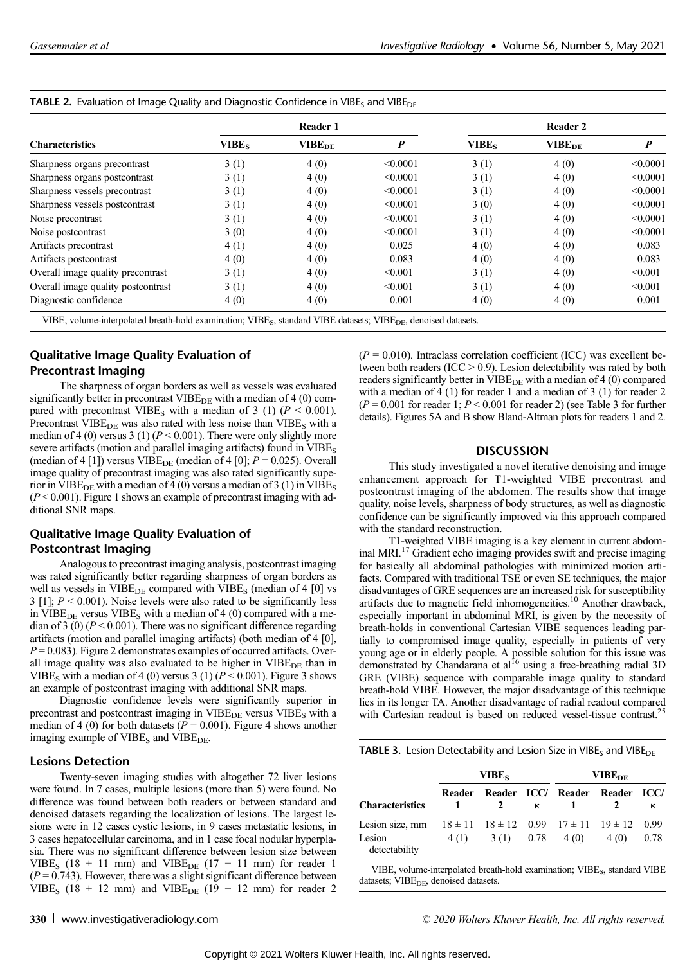| <b>Characteristics</b>             | Reader 1          |                          |          | Reader 2 |                          |                  |
|------------------------------------|-------------------|--------------------------|----------|----------|--------------------------|------------------|
|                                    | VIBE <sub>s</sub> | <b>VIBE<sub>DE</sub></b> | P        | $VIBE_S$ | <b>VIBE<sub>DE</sub></b> | $\boldsymbol{P}$ |
| Sharpness organs precontrast       | 3(1)              | 4(0)                     | < 0.0001 | 3(1)     | 4(0)                     | < 0.0001         |
| Sharpness organs postcontrast      | 3(1)              | 4(0)                     | < 0.0001 | 3(1)     | 4(0)                     | < 0.0001         |
| Sharpness vessels precontrast      | 3(1)              | 4(0)                     | < 0.0001 | 3(1)     | 4(0)                     | < 0.0001         |
| Sharpness vessels postcontrast     | 3(1)              | 4(0)                     | < 0.0001 | 3(0)     | 4(0)                     | < 0.0001         |
| Noise precontrast                  | 3(1)              | 4(0)                     | < 0.0001 | 3(1)     | 4(0)                     | < 0.0001         |
| Noise postcontrast                 | 3(0)              | 4(0)                     | < 0.0001 | 3(1)     | 4(0)                     | < 0.0001         |
| Artifacts precontrast              | 4(1)              | 4(0)                     | 0.025    | 4(0)     | 4(0)                     | 0.083            |
| Artifacts postcontrast             | 4(0)              | 4(0)                     | 0.083    | 4(0)     | 4(0)                     | 0.083            |
| Overall image quality precontrast  | 3(1)              | 4(0)                     | < 0.001  | 3(1)     | 4(0)                     | < 0.001          |
| Overall image quality postcontrast | 3(1)              | 4(0)                     | < 0.001  | 3(1)     | 4(0)                     | < 0.001          |
| Diagnostic confidence              | 4(0)              | 4(0)                     | 0.001    | 4(0)     | 4(0)                     | 0.001            |

VIBE, volume-interpolated breath-hold examination; VIBE<sub>S</sub>, standard VIBE datasets; VIBE<sub>DE</sub>, denoised datasets.

# Qualitative Image Quality Evaluation of Precontrast Imaging

The sharpness of organ borders as well as vessels was evaluated significantly better in precontrast  $VIBE<sub>DE</sub>$  with a median of 4 (0) compared with precontrast VIBE<sub>S</sub> with a median of 3 (1) ( $P < 0.001$ ). Precontrast VIBE $_{DE}$  was also rated with less noise than VIBE<sub>S</sub> with a median of 4 (0) versus 3 (1) ( $P < 0.001$ ). There were only slightly more severe artifacts (motion and parallel imaging artifacts) found in  $VIBE<sub>S</sub>$ (median of 4 [1]) versus VIBE<sub>DE</sub> (median of 4 [0];  $P = 0.025$ ). Overall image quality of precontrast imaging was also rated significantly superior in VIBE<sub>DE</sub> with a median of 4 (0) versus a median of 3 (1) in VIBE<sub>S</sub>  $(P < 0.001)$ . Figure 1 shows an example of precontrast imaging with additional SNR maps.

# Qualitative Image Quality Evaluation of Postcontrast Imaging

Analogous to precontrast imaging analysis, postcontrast imaging was rated significantly better regarding sharpness of organ borders as well as vessels in  $VIBE<sub>DE</sub>$  compared with  $VIBE<sub>S</sub>$  (median of 4 [0] vs 3 [1];  $P < 0.001$ ). Noise levels were also rated to be significantly less in VIBE<sub>DE</sub> versus VIBE<sub>S</sub> with a median of 4 (0) compared with a median of 3 (0) ( $P < 0.001$ ). There was no significant difference regarding artifacts (motion and parallel imaging artifacts) (both median of 4 [0],  $P = 0.083$ ). Figure 2 demonstrates examples of occurred artifacts. Overall image quality was also evaluated to be higher in  $VIBE_{DE}$  than in VIBE<sub>S</sub> with a median of 4 (0) versus 3 (1) ( $P < 0.001$ ). Figure 3 shows an example of postcontrast imaging with additional SNR maps.

Diagnostic confidence levels were significantly superior in precontrast and postcontrast imaging in  $VIBE_{DE}$  versus  $VIBE_S$  with a median of 4 (0) for both datasets ( $P = 0.001$ ). Figure 4 shows another imaging example of  $VIBE_S$  and  $VIBE_{DE}$ .

## Lesions Detection

Twenty-seven imaging studies with altogether 72 liver lesions were found. In 7 cases, multiple lesions (more than 5) were found. No difference was found between both readers or between standard and denoised datasets regarding the localization of lesions. The largest lesions were in 12 cases cystic lesions, in 9 cases metastatic lesions, in 3 cases hepatocellular carcinoma, and in 1 case focal nodular hyperplasia. There was no significant difference between lesion size between VIBE<sub>S</sub> (18  $\pm$  11 mm) and VIBE<sub>DE</sub> (17  $\pm$  11 mm) for reader 1  $(P = 0.743)$ . However, there was a slight significant difference between VIBE<sub>S</sub> (18  $\pm$  12 mm) and VIBE<sub>DE</sub> (19  $\pm$  12 mm) for reader 2

 $(P = 0.010)$ . Intraclass correlation coefficient (ICC) was excellent between both readers (ICC > 0.9). Lesion detectability was rated by both readers significantly better in  $VIBE<sub>DE</sub>$  with a median of 4 (0) compared with a median of 4 (1) for reader 1 and a median of 3 (1) for reader 2  $(P = 0.001$  for reader 1;  $P \le 0.001$  for reader 2) (see Table 3 for further details). Figures 5A and B show Bland-Altman plots for readers 1 and 2.

#### DISCUSSION

This study investigated a novel iterative denoising and image enhancement approach for T1-weighted VIBE precontrast and postcontrast imaging of the abdomen. The results show that image quality, noise levels, sharpness of body structures, as well as diagnostic confidence can be significantly improved via this approach compared with the standard reconstruction.

T1-weighted VIBE imaging is a key element in current abdominal MRI.<sup>17</sup> Gradient echo imaging provides swift and precise imaging for basically all abdominal pathologies with minimized motion artifacts. Compared with traditional TSE or even SE techniques, the major disadvantages of GRE sequences are an increased risk for susceptibility artifacts due to magnetic field inhomogeneities.<sup>10</sup> Another drawback, especially important in abdominal MRI, is given by the necessity of breath-holds in conventional Cartesian VIBE sequences leading partially to compromised image quality, especially in patients of very young age or in elderly people. A possible solution for this issue was demonstrated by Chandarana et al<sup>16</sup> using a free-breathing radial 3D GRE (VIBE) sequence with comparable image quality to standard breath-hold VIBE. However, the major disadvantage of this technique lies in its longer TA. Another disadvantage of radial readout compared with Cartesian readout is based on reduced vessel-tissue contrast.<sup>25</sup>

| <b>TABLE 3.</b> Lesion Detectability and Lesion Size in VIBE <sub>S</sub> and VIBE <sub>DE</sub> |  |
|--------------------------------------------------------------------------------------------------|--|
|--------------------------------------------------------------------------------------------------|--|

|                                            | VIBE <sub>s</sub> |               |      | $\mathbf{VIBE}_{\mathbf{DF}}$                                |       |              |
|--------------------------------------------|-------------------|---------------|------|--------------------------------------------------------------|-------|--------------|
| <b>Characteristics</b>                     | Reader            | $\mathcal{L}$ | к    | Reader ICC/ Reader Reader                                    |       | = ICC/<br>к  |
| Lesion size, mm<br>Lesion<br>detectability | 4(1)              | 3(1)          | 0.78 | $18 \pm 11$ $18 \pm 12$ 0.99 $17 \pm 11$ $19 \pm 12$<br>4(0) | 4 (0) | 0.99<br>0.78 |

VIBE, volume-interpolated breath-hold examination; VIBE<sub>S</sub>, standard VIBE datasets;  $V I B E<sub>DE</sub>$ , denoised datasets.

330 <www.investigativeradiology.com>  $\degree$  2020 Wolters Kluwer Health, Inc. All rights reserved.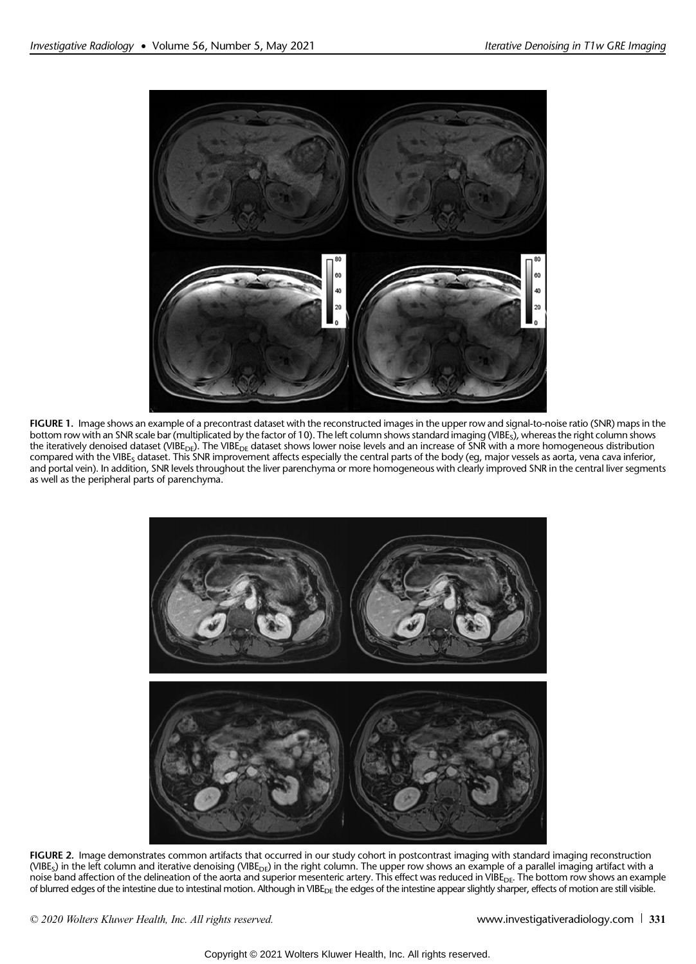

FIGURE 1. Image shows an example of a precontrast dataset with the reconstructed images in the upper row and signal-to-noise ratio (SNR) maps in the bottom row with an SNR scale bar (multiplicated by the factor of 10). The left column shows standard imaging (VIBE<sub>S</sub>), whereas the right column shows the iteratively denoised dataset (VIBE<sub>DE</sub>). The VIBE<sub>DE</sub> dataset shows lower noise levels and an increase of SNR with a more homogeneous distribution compared with the VIBE<sub>s</sub> dataset. This SNR improvement affects especially the central parts of the body (eg, major vessels as aorta, vena cava inferior, and portal vein). In addition, SNR levels throughout the liver parenchyma or more homogeneous with clearly improved SNR in the central liver segments as well as the peripheral parts of parenchyma.



FIGURE 2. Image demonstrates common artifacts that occurred in our study cohort in postcontrast imaging with standard imaging reconstruction (VIBE<sub>S</sub>) in the left column and iterative denoising (VIBE<sub>DE</sub>) in the right column. The upper row shows an example of a parallel imaging artifact with a noise band affection of the delineation of the aorta and superior mesenteric artery. This effect was reduced in VIBE<sub>DE</sub>. The bottom row shows an example of blurred edges of the intestine due to intestinal motion. Although in VIBE<sub>DE</sub> the edges of the intestine appear slightly sharper, effects of motion are still visible.

© 2020 Wolters Kluwer Health, Inc. All rights reserved. We <www.investigativeradiology.com> 331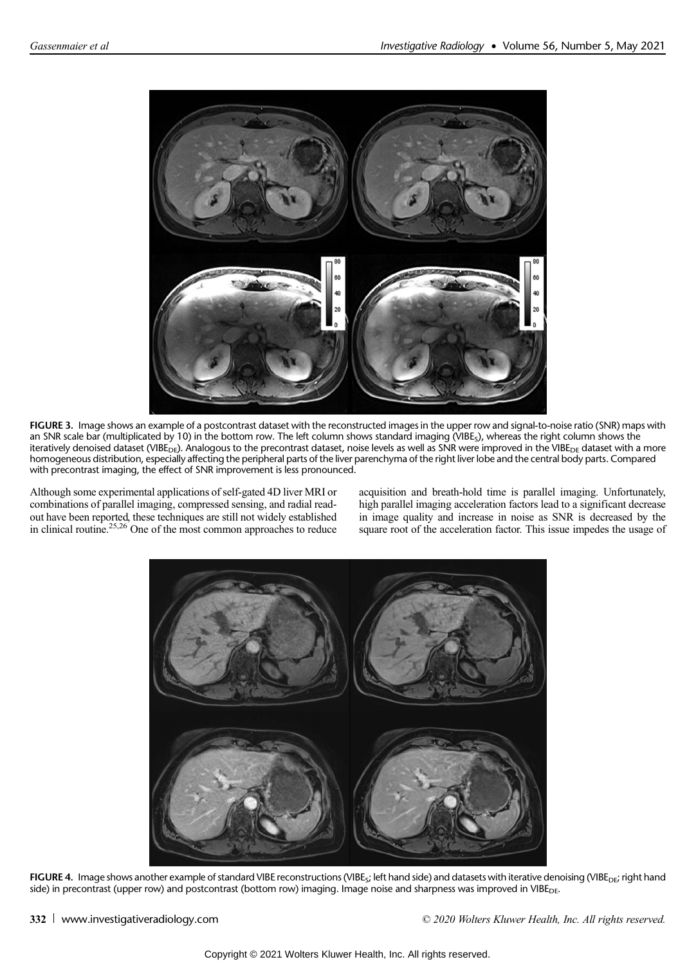

FIGURE 3. Image shows an example of a postcontrast dataset with the reconstructed images in the upper row and signal-to-noise ratio (SNR) maps with an SNR scale bar (multiplicated by 10) in the bottom row. The left column shows standard imaging (VIBE<sub>S</sub>), whereas the right column shows the iteratively denoised dataset (VIBE<sub>DE</sub>). Analogous to the precontrast dataset, noise levels as well as SNR were improved in the VIBE<sub>DE</sub> dataset with a more homogeneous distribution, especially affecting the peripheral parts of the liver parenchyma of the right liver lobe and the central body parts. Compared with precontrast imaging, the effect of SNR improvement is less pronounced.

Although some experimental applications of self-gated 4D liver MRI or combinations of parallel imaging, compressed sensing, and radial readout have been reported, these techniques are still not widely established in clinical routine.<sup>25,26</sup> One of the most common approaches to reduce

acquisition and breath-hold time is parallel imaging. Unfortunately, high parallel imaging acceleration factors lead to a significant decrease in image quality and increase in noise as SNR is decreased by the square root of the acceleration factor. This issue impedes the usage of



FIGURE 4. Image shows another example of standard VIBE reconstructions (VIBE<sub>S</sub>; left hand side) and datasets with iterative denoising (VIBE<sub>DE</sub>; right hand side) in precontrast (upper row) and postcontrast (bottom row) imaging. Image noise and sharpness was improved in VIBE<sub>DE</sub>.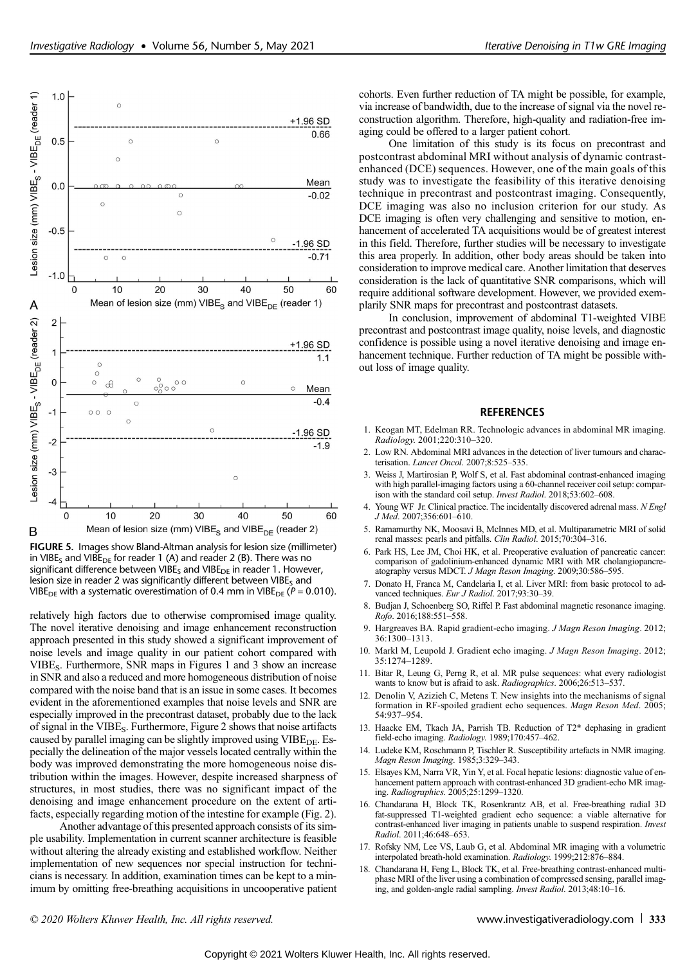

FIGURE 5. Images show Bland-Altman analysis for lesion size (millimeter) in VIBE<sub>S</sub> and VIBE<sub>DE</sub> for reader 1 (A) and reader 2 (B). There was no significant difference between VIBE<sub>S</sub> and VIBE<sub>DE</sub> in reader 1. However, lesion size in reader 2 was significantly different between VIBE $<sub>s</sub>$  and</sub> VIBE<sub>DE</sub> with a systematic overestimation of 0.4 mm in VIBE<sub>DE</sub> ( $P = 0.010$ ).

relatively high factors due to otherwise compromised image quality. The novel iterative denoising and image enhancement reconstruction approach presented in this study showed a significant improvement of noise levels and image quality in our patient cohort compared with VIBES. Furthermore, SNR maps in Figures 1 and 3 show an increase in SNR and also a reduced and more homogeneous distribution of noise compared with the noise band that is an issue in some cases. It becomes evident in the aforementioned examples that noise levels and SNR are especially improved in the precontrast dataset, probably due to the lack of signal in the VIBE<sub>S</sub>. Furthermore, Figure 2 shows that noise artifacts caused by parallel imaging can be slightly improved using VIBE<sub>DE</sub>. Especially the delineation of the major vessels located centrally within the body was improved demonstrating the more homogeneous noise distribution within the images. However, despite increased sharpness of structures, in most studies, there was no significant impact of the denoising and image enhancement procedure on the extent of artifacts, especially regarding motion of the intestine for example (Fig. 2).

Another advantage of this presented approach consists of its simple usability. Implementation in current scanner architecture is feasible without altering the already existing and established workflow. Neither implementation of new sequences nor special instruction for technicians is necessary. In addition, examination times can be kept to a minimum by omitting free-breathing acquisitions in uncooperative patient cohorts. Even further reduction of TA might be possible, for example, via increase of bandwidth, due to the increase of signal via the novel reconstruction algorithm. Therefore, high-quality and radiation-free imaging could be offered to a larger patient cohort.

One limitation of this study is its focus on precontrast and postcontrast abdominal MRI without analysis of dynamic contrastenhanced (DCE) sequences. However, one of the main goals of this study was to investigate the feasibility of this iterative denoising technique in precontrast and postcontrast imaging. Consequently, DCE imaging was also no inclusion criterion for our study. As DCE imaging is often very challenging and sensitive to motion, enhancement of accelerated TA acquisitions would be of greatest interest in this field. Therefore, further studies will be necessary to investigate this area properly. In addition, other body areas should be taken into consideration to improve medical care. Another limitation that deserves consideration is the lack of quantitative SNR comparisons, which will require additional software development. However, we provided exemplarily SNR maps for precontrast and postcontrast datasets.

In conclusion, improvement of abdominal T1-weighted VIBE precontrast and postcontrast image quality, noise levels, and diagnostic confidence is possible using a novel iterative denoising and image enhancement technique. Further reduction of TA might be possible without loss of image quality.

#### REFERENCES

- 1. Keogan MT, Edelman RR. Technologic advances in abdominal MR imaging. Radiology. 2001;220:310–320.
- 2. Low RN. Abdominal MRI advances in the detection of liver tumours and characterisation. Lancet Oncol. 2007;8:525-535.
- 3. Weiss J, Martirosian P, Wolf S, et al. Fast abdominal contrast-enhanced imaging with high parallel-imaging factors using a 60-channel receiver coil setup: comparison with the standard coil setup. Invest Radiol. 2018;53:602-608.
- 4. Young WF Jr. Clinical practice. The incidentally discovered adrenal mass. N Engl J Med. 2007;356:601–610.
- 5. Ramamurthy NK, Moosavi B, McInnes MD, et al. Multiparametric MRI of solid renal masses: pearls and pitfalls. Clin Radiol. 2015;70:304-316.
- Park HS, Lee JM, Choi HK, et al. Preoperative evaluation of pancreatic cancer: comparison of gadolinium-enhanced dynamic MRI with MR cholangiopancreatography versus MDCT. J Magn Reson Imaging. 2009;30:586-595.
- 7. Donato H, Franca M, Candelaria I, et al. Liver MRI: from basic protocol to advanced techniques. Eur J Radiol. 2017;93:30-39.
- 8. Budjan J, Schoenberg SO, Riffel P. Fast abdominal magnetic resonance imaging. Rofo. 2016;188:551–558.
- 9. Hargreaves BA. Rapid gradient-echo imaging. J Magn Reson Imaging. 2012; 36:1300–1313.
- 10. Markl M, Leupold J. Gradient echo imaging. J Magn Reson Imaging. 2012; 35:1274–1289.
- 11. Bitar R, Leung G, Perng R, et al. MR pulse sequences: what every radiologist wants to know but is afraid to ask. Radiographics. 2006;26:513-537.
- 12. Denolin V, Azizieh C, Metens T. New insights into the mechanisms of signal formation in RF-spoiled gradient echo sequences. Magn Reson Med. 2005; 54:937–954.
- 13. Haacke EM, Tkach JA, Parrish TB. Reduction of T2\* dephasing in gradient field-echo imaging. Radiology. 1989;170:457-462.
- 14. Ludeke KM, Roschmann P, Tischler R. Susceptibility artefacts in NMR imaging. Magn Reson Imaging. 1985;3:329–343.
- 15. Elsayes KM, Narra VR, Yin Y, et al. Focal hepatic lesions: diagnostic value of enhancement pattern approach with contrast-enhanced 3D gradient-echo MR imaging. Radiographics. 2005;25:1299–1320.
- 16. Chandarana H, Block TK, Rosenkrantz AB, et al. Free-breathing radial 3D fat-suppressed T1-weighted gradient echo sequence: a viable alternative for contrast-enhanced liver imaging in patients unable to suspend respiration. Invest Radiol. 2011;46:648–653.
- 17. Rofsky NM, Lee VS, Laub G, et al. Abdominal MR imaging with a volumetric interpolated breath-hold examination. Radiology. 1999;212:876–884.
- 18. Chandarana H, Feng L, Block TK, et al. Free-breathing contrast-enhanced multiphase MRI of the liver using a combination of compressed sensing, parallel imaging, and golden-angle radial sampling. Invest Radiol. 2013;48:10–16.

© 2020 Wolters Kluwer Health, Inc. All rights reserved. <www.investigativeradiology.com> 333